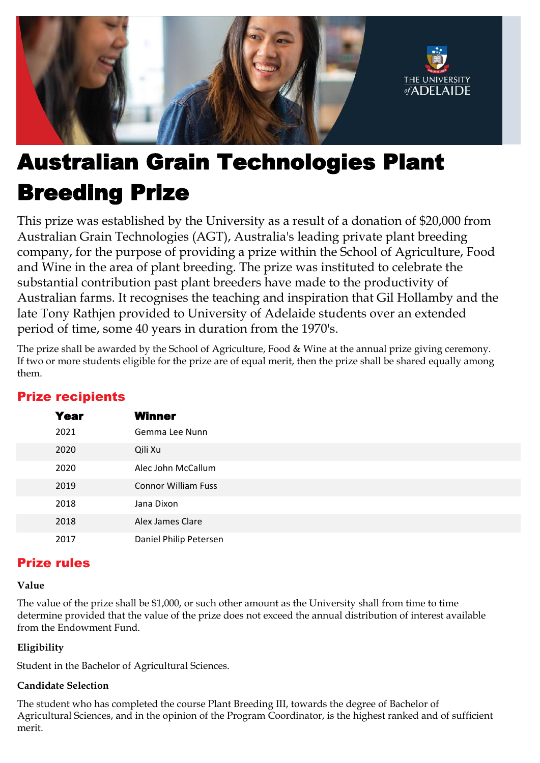

# Australian Grain Technologies Plant Breeding Prize

This prize was established by the University as a result of a donation of \$20,000 from Australian Grain Technologies (AGT), Australia's leading private plant breeding company, for the purpose of providing a prize within the School of Agriculture, Food and Wine in the area of plant breeding. The prize was instituted to celebrate the substantial contribution past plant breeders have made to the productivity of Australian farms. It recognises the teaching and inspiration that Gil Hollamby and the late Tony Rathjen provided to University of Adelaide students over an extended period of time, some 40 years in duration from the 1970's.

 The prize shall be awarded by the School of Agriculture, Food & Wine at the annual prize giving ceremony. If two or more students eligible for the prize are of equal merit, then the prize shall be shared equally among them.

| <b>Year</b> | <b>Winner</b>              |
|-------------|----------------------------|
| 2021        | Gemma Lee Nunn             |
| 2020        | Qili Xu                    |
| 2020        | Alec John McCallum         |
| 2019        | <b>Connor William Fuss</b> |
| 2018        | Jana Dixon                 |
| 2018        | Alex James Clare           |
| 2017        | Daniel Philip Petersen     |

## Prize recipients

## Prize rules

### **Value**

 The value of the prize shall be \$1,000, or such other amount as the University shall from time to time determine provided that the value of the prize does not exceed the annual distribution of interest available from the Endowment Fund.

### **Eligibility**

Student in the Bachelor of Agricultural Sciences.

### **Candidate Selection**

The student who has completed the course Plant Breeding III, towards the degree of Bachelor of Agricultural Sciences, and in the opinion of the Program Coordinator, is the highest ranked and of sufficient merit.